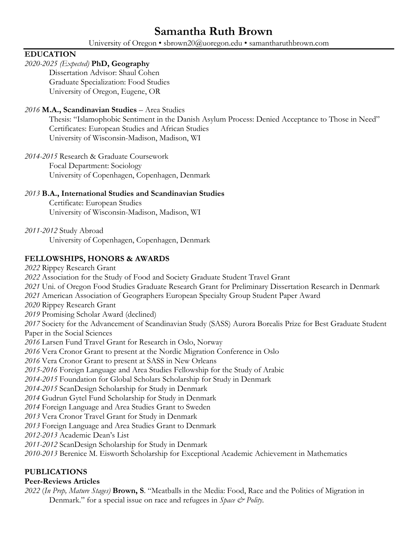# **Samantha Ruth Brown**

University of Oregon • sbrown20@uoregon.edu • samantharuthbrown.com

## **EDUCATION**

## *2020-2025 (Expected)* **PhD, Geography**

Dissertation Advisor: Shaul Cohen Graduate Specialization: Food Studies University of Oregon, Eugene, OR

## *2016* **M.A., Scandinavian Studies** – Area Studies

Thesis: "Islamophobic Sentiment in the Danish Asylum Process: Denied Acceptance to Those in Need" Certificates: European Studies and African Studies University of Wisconsin-Madison, Madison, WI

*2014-2015* Research & Graduate Coursework Focal Department: Sociology University of Copenhagen, Copenhagen, Denmark

## *2013* **B.A., International Studies and Scandinavian Studies**

Certificate: European Studies University of Wisconsin-Madison, Madison, WI

*2011-2012* Study Abroad

University of Copenhagen, Copenhagen, Denmark

## **FELLOWSHIPS, HONORS & AWARDS**

 Rippey Research Grant Association for the Study of Food and Society Graduate Student Travel Grant Uni. of Oregon Food Studies Graduate Research Grant for Preliminary Dissertation Research in Denmark American Association of Geographers European Specialty Group Student Paper Award Rippey Research Grant Promising Scholar Award (declined) Society for the Advancement of Scandinavian Study (SASS) Aurora Borealis Prize for Best Graduate Student Paper in the Social Sciences Larsen Fund Travel Grant for Research in Oslo, Norway Vera Cronor Grant to present at the Nordic Migration Conference in Oslo Vera Cronor Grant to present at SASS in New Orleans *2015-2016* Foreign Language and Area Studies Fellowship for the Study of Arabic *2014-2015* Foundation for Global Scholars Scholarship for Study in Denmark *2014-2015* ScanDesign Scholarship for Study in Denmark Gudrun Gytel Fund Scholarship for Study in Denmark Foreign Language and Area Studies Grant to Sweden Vera Cronor Travel Grant for Study in Denmark Foreign Language and Area Studies Grant to Denmark *2012-2013* Academic Dean's List *2011-2012* ScanDesign Scholarship for Study in Denmark *2010-2013* Berenice M. Eisworth Scholarship for Exceptional Academic Achievement in Mathematics

## **PUBLICATIONS**

## **Peer-Reviews Articles**

*2022* (*In Prep, Mature Stages)* **Brown, S**. "Meatballs in the Media: Food, Race and the Politics of Migration in Denmark." for a special issue on race and refugees in *Space & Polity*.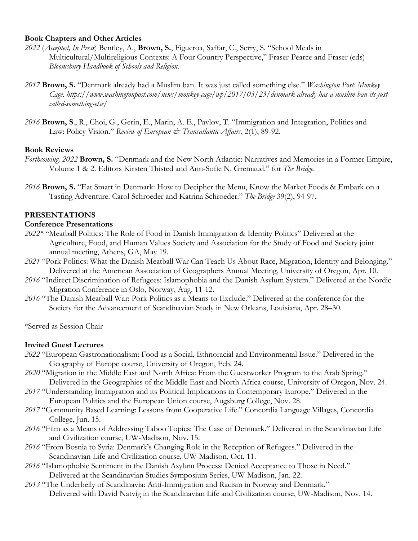#### **Book Chapters and Other Articles**

- *2022* (*Accepted, In Press*) Bentley, A., **Brown, S.**, Figueroa, Saffar, C., Serry, S. "School Meals in Multicultural/Multireligious Contexts: A Four Country Perspective," Fraser-Pearce and Fraser (eds) *Bloomsbury Handbook of Schools and Religion.*
- *2017* **Brown, S.** "Denmark already had a Muslim ban. It was just called something else." *Washington Post: Monkey Cage. https://www.washingtonpost.com/news/monkey-cage/wp/2017/03/23/denmark-already-has-a-muslim-ban-its-justcalled-something-else/*
- *2016* **Brown, S**., R., Choi, G., Gerin, E., Marin, A. E., Pavlov, T. "Immigration and Integration, Politics and Law: Policy Vision." *Review of European & Transatlantic Affairs*, 2(1), 89-92.

#### **Book Reviews**

- *Forthcoming, 2022* **Brown, S.** "Denmark and the New North Atlantic: Narratives and Memories in a Former Empire, Volume 1 & 2. Editors Kirsten Thisted and Ann-Sofie N. Gremaud." for *The Bridge*.
- *2016* **Brown, S.** "Eat Smart in Denmark: How to Decipher the Menu, Know the Market Foods & Embark on a Tasting Adventure. Carol Schroeder and Katrina Schroeder." *The Bridge* 39(2), 94-97.

#### **PRESENTATIONS**

#### **Conference Presentations**

- *2022\** "Meatball Politics: The Role of Food in Danish Immigration & Identity Politics" Delivered at the Agriculture, Food, and Human Values Society and Association for the Study of Food and Society joint annual meeting, Athens, GA, May 19.
- *2021* "Pork Politics: What the Danish Meatball War Can Teach Us About Race, Migration, Identity and Belonging." Delivered at the American Association of Geographers Annual Meeting, University of Oregon, Apr. 10.
- *2016* "Indirect Discrimination of Refugees: Islamophobia and the Danish Asylum System." Delivered at the Nordic Migration Conference in Oslo, Norway, Aug. 11-12.
- *2016* "The Danish Meatball War: Pork Politics as a Means to Exclude." Delivered at the conference for the Society for the Advancement of Scandinavian Study in New Orleans, Louisiana, Apr. 28–30.

\*Served as Session Chair

#### **Invited Guest Lectures**

- *2022* "European Gastronationalism: Food as a Social, Ethnoracial and Environmental Issue." Delivered in the Geography of Europe course, University of Oregon, Feb. 24.
- *2020* "Migration in the Middle East and North Africa: From the Guestworker Program to the Arab Spring." Delivered in the Geographies of the Middle East and North Africa course, University of Oregon, Nov. 24.
- *2017* "Understanding Immigration and its Political Implications in Contemporary Europe." Delivered in the European Politics and the European Union course, Augsburg College, Nov. 28.
- *2017* "Community Based Learning: Lessons from Cooperative Life." Concordia Language Villages, Concordia College, Jun. 15.
- *2016* "Film as a Means of Addressing Taboo Topics: The Case of Denmark." Delivered in the Scandinavian Life and Civilization course, UW-Madison, Nov. 15.
- *2016* "From Bosnia to Syria: Denmark's Changing Role in the Reception of Refugees." Delivered in the Scandinavian Life and Civilization course, UW-Madison, Oct. 11.
- *2016* "Islamophobic Sentiment in the Danish Asylum Process: Denied Acceptance to Those in Need." Delivered at the Scandinavian Studies Symposium Series, UW-Madison, Jan. 22.
- *2013* "The Underbelly of Scandinavia: Anti-Immigration and Racism in Norway and Denmark." Delivered with David Natvig in the Scandinavian Life and Civilization course, UW-Madison, Nov. 14.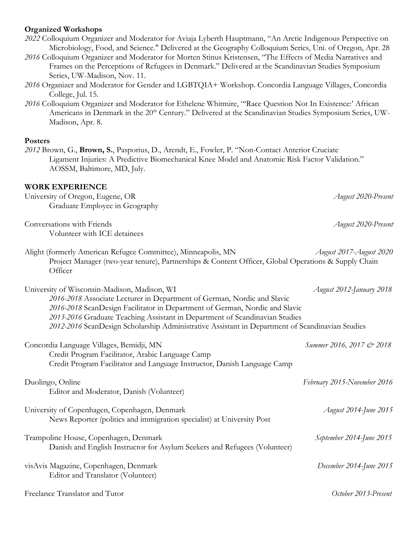#### **Organized Workshops**

|  | 2022 Colloquium Organizer and Moderator for Aviaja Lyberth Hauptmann, "An Arctic Indigenous Perspective on |
|--|------------------------------------------------------------------------------------------------------------|
|  | Microbiology, Food, and Science." Delivered at the Geography Colloquium Series, Uni. of Oregon, Apr. 28    |

- *2016* Colloquium Organizer and Moderator for Morten Stinus Kristensen, "The Effects of Media Narratives and Frames on the Perceptions of Refugees in Denmark." Delivered at the Scandinavian Studies Symposium Series, UW-Madison, Nov. 11.
- *2016* Organizer and Moderator for Gender and LGBTQIA+ Workshop. Concordia Language Villages, Concordia College, Jul. 15.
- *2016* Colloquium Organizer and Moderator for Ethelene Whitmire, "'Race Question Not In Existence:' African Americans in Denmark in the 20<sup>th</sup> Century." Delivered at the Scandinavian Studies Symposium Series, UW-Madison, Apr. 8.

#### **Posters**

*2012* Brown, G., **Brown, S.**, Pasporius, D., Arendt, E., Fowler, P. "Non-Contact Anterior Cruciate Ligament Injuries: A Predictive Biomechanical Knee Model and Anatomic Risk Factor Validation." AOSSM, Baltimore, MD, July.

## **WORK EXPERIENCE**

| University of Oregon, Eugene, OR | August 2020-Present |
|----------------------------------|---------------------|
| Graduate Employee in Geography   |                     |
| Conversations with Friends       | August 2020-Present |
| Volunteer with ICE detainees     |                     |

Alight (formerly American Refugee Committee), Minneapolis, MN *August 2017-August 2020* Project Manager (two-year tenure), Partnerships & Content Officer, Global Operations & Supply Chain **Officer** 

University of Wisconsin-Madison, Madison, WI *August 2012-January 2018 2016-2018* Associate Lecturer in Department of German, Nordic and Slavic *2016-2018* ScanDesign Facilitator in Department of German, Nordic and Slavic *2013-2016* Graduate Teaching Assistant in Department of Scandinavian Studies *2012-2016* ScanDesign Scholarship Administrative Assistant in Department of Scandinavian Studies Concordia Language Villages, Bemidji, MN *Summer 2016, 2017 & 2018* Credit Program Facilitator, Arabic Language Camp Credit Program Facilitator and Language Instructor, Danish Language Camp Duolingo, Online *February 2015-November 2016* Editor and Moderator, Danish (Volunteer) University of Copenhagen, Copenhagen, Denmark *August 2014-June 2015* News Reporter (politics and immigration specialist) at University Post Trampoline House, Copenhagen, Denmark *September 2014-June 2015*

Danish and English Instructor for Asylum Seekers and Refugees (Volunteer)

visAvis Magazine, Copenhagen, Denmark *December 2014-June 2015* Editor and Translator (Volunteer)

Freelance Translator and Tutor *October 2013-Present*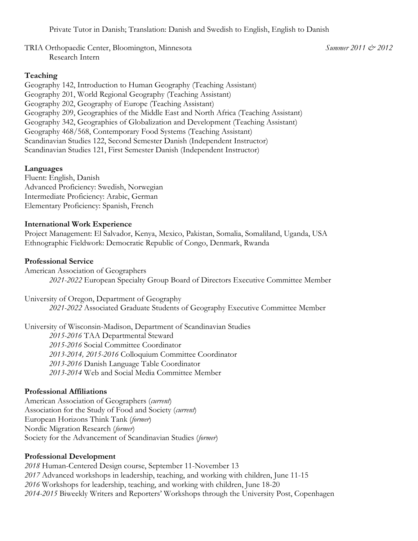Private Tutor in Danish; Translation: Danish and Swedish to English, English to Danish

TRIA Orthopaedic Center, Bloomington, Minnesota *Summer 2011 & 2012* Research Intern

#### **Teaching**

Geography 142, Introduction to Human Geography (Teaching Assistant) Geography 201, World Regional Geography (Teaching Assistant) Geography 202, Geography of Europe (Teaching Assistant) Geography 209, Geographies of the Middle East and North Africa (Teaching Assistant) Geography 342, Geographies of Globalization and Development (Teaching Assistant) Geography 468/568, Contemporary Food Systems (Teaching Assistant) Scandinavian Studies 122, Second Semester Danish (Independent Instructor) Scandinavian Studies 121, First Semester Danish (Independent Instructor)

### **Languages**

Fluent: English, Danish Advanced Proficiency: Swedish, Norwegian Intermediate Proficiency: Arabic, German Elementary Proficiency: Spanish, French

#### **International Work Experience**

Project Management: El Salvador, Kenya, Mexico, Pakistan, Somalia, Somaliland, Uganda, USA Ethnographic Fieldwork: Democratic Republic of Congo, Denmark, Rwanda

#### **Professional Service**

American Association of Geographers *2021-2022* European Specialty Group Board of Directors Executive Committee Member

University of Oregon, Department of Geography *2021-2022* Associated Graduate Students of Geography Executive Committee Member

University of Wisconsin-Madison, Department of Scandinavian Studies *2015-2016* TAA Departmental Steward *2015-2016* Social Committee Coordinator *2013-2014, 2015-2016* Colloquium Committee Coordinator *2013-2016* Danish Language Table Coordinator *2013-2014* Web and Social Media Committee Member

#### **Professional Affiliations**

American Association of Geographers (*current*) Association for the Study of Food and Society (*current*) European Horizons Think Tank (*former*) Nordic Migration Research (*former*) Society for the Advancement of Scandinavian Studies (*former*)

#### **Professional Development**

 Human-Centered Design course, September 11-November 13 Advanced workshops in leadership, teaching, and working with children, June 11-15 Workshops for leadership, teaching, and working with children, June 18-20 *2014-2015* Biweekly Writers and Reporters' Workshops through the University Post, Copenhagen